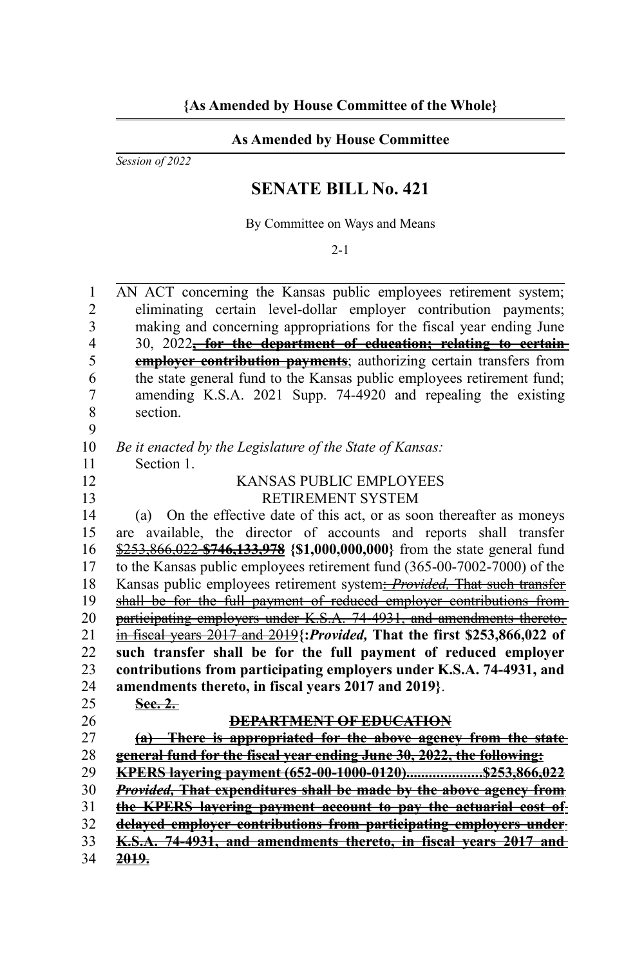## **As Amended by House Committee**

*Session of 2022*

## **SENATE BILL No. 421**

By Committee on Ways and Means

2-1

AN ACT concerning the Kansas public employees retirement system; eliminating certain level-dollar employer contribution payments; making and concerning appropriations for the fiscal year ending June 30, 2022**, for the department of education; relating to certain employer contribution payments**; authorizing certain transfers from the state general fund to the Kansas public employees retirement fund; amending K.S.A. 2021 Supp. 74-4920 and repealing the existing section. *Be it enacted by the Legislature of the State of Kansas:* Section 1. KANSAS PUBLIC EMPLOYEES RETIREMENT SYSTEM (a) On the effective date of this act, or as soon thereafter as moneys are available, the director of accounts and reports shall transfer \$253,866,022 **\$746,133,978 {\$1,000,000,000}** from the state general fund to the Kansas public employees retirement fund (365-00-7002-7000) of the Kansas public employees retirement system: *Provided*, That such transfer shall be for the full payment of reduced employer contributions from participating employers under K.S.A. 74-4931, and amendments thereto, in fiscal years 2017 and 2019**{:***Provided,* **That the first \$253,866,022 of such transfer shall be for the full payment of reduced employer contributions from participating employers under K.S.A. 74-4931, and amendments thereto, in fiscal years 2017 and 2019}**. **Sec. 2. DEPARTMENT OF EDUCATION (a) There is appropriated for the above agency from the state general fund for the fiscal year ending June 30, 2022, the following: KPERS layering payment (652-00-1000-0120) .................... \$253,866,022**  *Provided,* **That expenditures shall be made by the above agency from the KPERS layering payment account to pay the actuarial cost of delayed employer contributions from participating employers under K.S.A. 74-4931, and amendments thereto, in fiscal years 2017 and 2019.** 1  $\mathfrak{D}$ 3 4 5 6 7 8 9 10 11 12 13 14 15 16 17 18 19 20 21 22 23 24 25 26 27 28 29 30 31 32 33 34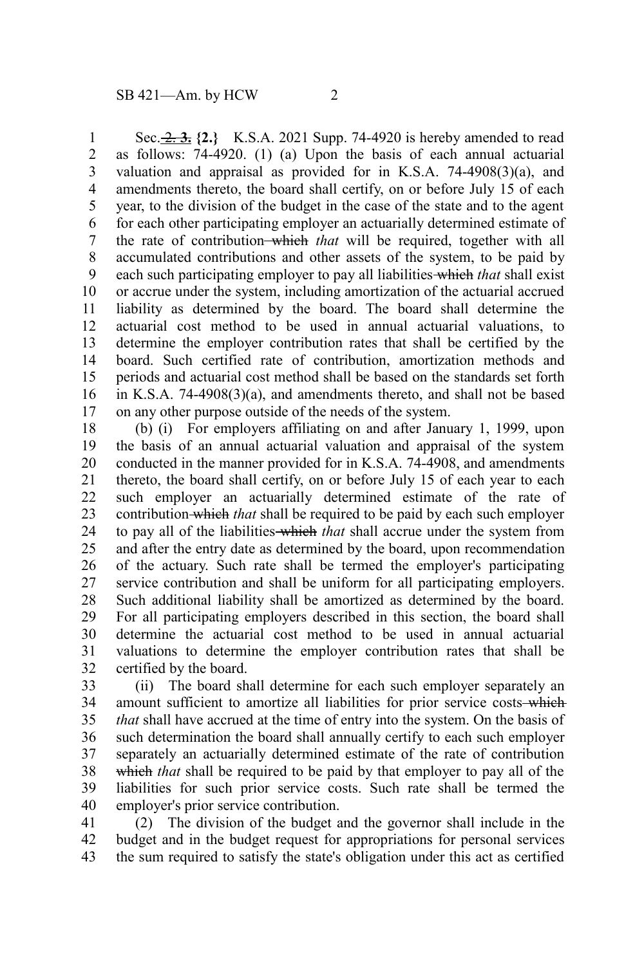Sec. 2. **3. {2.}** K.S.A. 2021 Supp. 74-4920 is hereby amended to read as follows: 74-4920. (1) (a) Upon the basis of each annual actuarial valuation and appraisal as provided for in K.S.A.  $74-4908(3)(a)$ , and amendments thereto, the board shall certify, on or before July 15 of each year, to the division of the budget in the case of the state and to the agent for each other participating employer an actuarially determined estimate of the rate of contribution which *that* will be required, together with all accumulated contributions and other assets of the system, to be paid by each such participating employer to pay all liabilities which *that* shall exist or accrue under the system, including amortization of the actuarial accrued liability as determined by the board. The board shall determine the actuarial cost method to be used in annual actuarial valuations, to determine the employer contribution rates that shall be certified by the board. Such certified rate of contribution, amortization methods and periods and actuarial cost method shall be based on the standards set forth in K.S.A. 74-4908(3)(a), and amendments thereto, and shall not be based on any other purpose outside of the needs of the system. 1 2 3 4 5 6 7 8 9 10 11 12 13 14 15 16 17

(b) (i) For employers affiliating on and after January 1, 1999, upon the basis of an annual actuarial valuation and appraisal of the system conducted in the manner provided for in K.S.A. 74-4908, and amendments thereto, the board shall certify, on or before July 15 of each year to each such employer an actuarially determined estimate of the rate of contribution which *that* shall be required to be paid by each such employer to pay all of the liabilities which *that* shall accrue under the system from and after the entry date as determined by the board, upon recommendation of the actuary. Such rate shall be termed the employer's participating service contribution and shall be uniform for all participating employers. Such additional liability shall be amortized as determined by the board. For all participating employers described in this section, the board shall determine the actuarial cost method to be used in annual actuarial valuations to determine the employer contribution rates that shall be certified by the board. 18 19 20 21 22 23 24 25 26 27 28 29 30 31 32

(ii) The board shall determine for each such employer separately an amount sufficient to amortize all liabilities for prior service costs-which *that* shall have accrued at the time of entry into the system. On the basis of such determination the board shall annually certify to each such employer separately an actuarially determined estimate of the rate of contribution which *that* shall be required to be paid by that employer to pay all of the liabilities for such prior service costs. Such rate shall be termed the employer's prior service contribution. 33 34 35 36 37 38 39 40

(2) The division of the budget and the governor shall include in the budget and in the budget request for appropriations for personal services the sum required to satisfy the state's obligation under this act as certified 41 42 43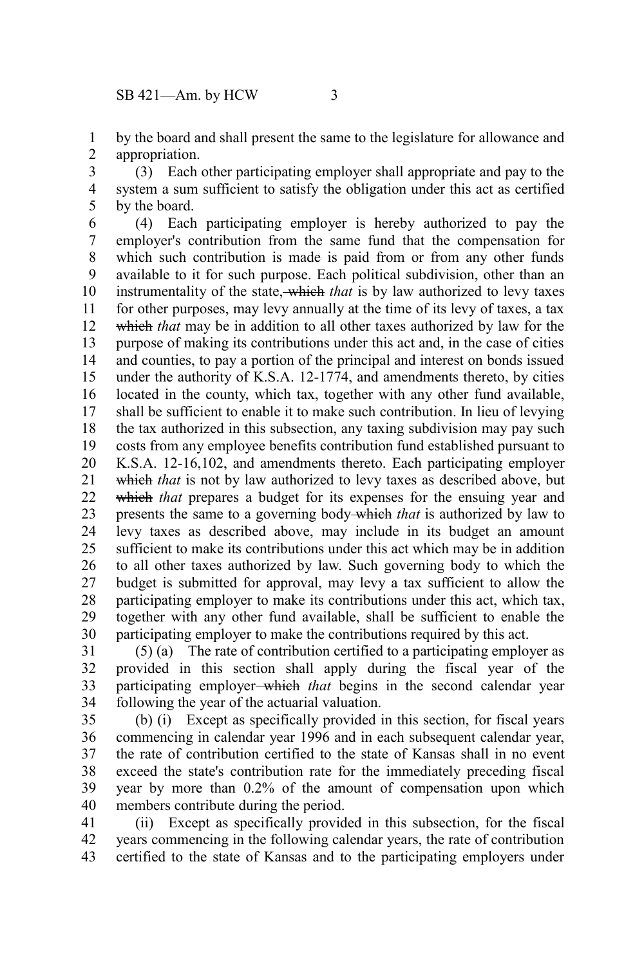by the board and shall present the same to the legislature for allowance and appropriation. 1 2

(3) Each other participating employer shall appropriate and pay to the system a sum sufficient to satisfy the obligation under this act as certified by the board. 3 4 5

(4) Each participating employer is hereby authorized to pay the employer's contribution from the same fund that the compensation for which such contribution is made is paid from or from any other funds available to it for such purpose. Each political subdivision, other than an instrumentality of the state, which *that* is by law authorized to levy taxes for other purposes, may levy annually at the time of its levy of taxes, a tax which *that* may be in addition to all other taxes authorized by law for the purpose of making its contributions under this act and, in the case of cities and counties, to pay a portion of the principal and interest on bonds issued under the authority of K.S.A. 12-1774, and amendments thereto, by cities located in the county, which tax, together with any other fund available, shall be sufficient to enable it to make such contribution. In lieu of levying the tax authorized in this subsection, any taxing subdivision may pay such costs from any employee benefits contribution fund established pursuant to K.S.A. 12-16,102, and amendments thereto. Each participating employer which *that* is not by law authorized to levy taxes as described above, but which *that* prepares a budget for its expenses for the ensuing year and presents the same to a governing body which *that* is authorized by law to levy taxes as described above, may include in its budget an amount sufficient to make its contributions under this act which may be in addition to all other taxes authorized by law. Such governing body to which the budget is submitted for approval, may levy a tax sufficient to allow the participating employer to make its contributions under this act, which tax, together with any other fund available, shall be sufficient to enable the participating employer to make the contributions required by this act. 6 7 8 9 10 11 12 13 14 15 16 17 18 19 20 21 22 23 24 25 26 27 28 29 30

(5) (a) The rate of contribution certified to a participating employer as provided in this section shall apply during the fiscal year of the participating employer which *that* begins in the second calendar year following the year of the actuarial valuation. 31 32 33 34

(b) (i) Except as specifically provided in this section, for fiscal years commencing in calendar year 1996 and in each subsequent calendar year, the rate of contribution certified to the state of Kansas shall in no event exceed the state's contribution rate for the immediately preceding fiscal year by more than 0.2% of the amount of compensation upon which members contribute during the period. 35 36 37 38 39 40

(ii) Except as specifically provided in this subsection, for the fiscal years commencing in the following calendar years, the rate of contribution certified to the state of Kansas and to the participating employers under 41 42 43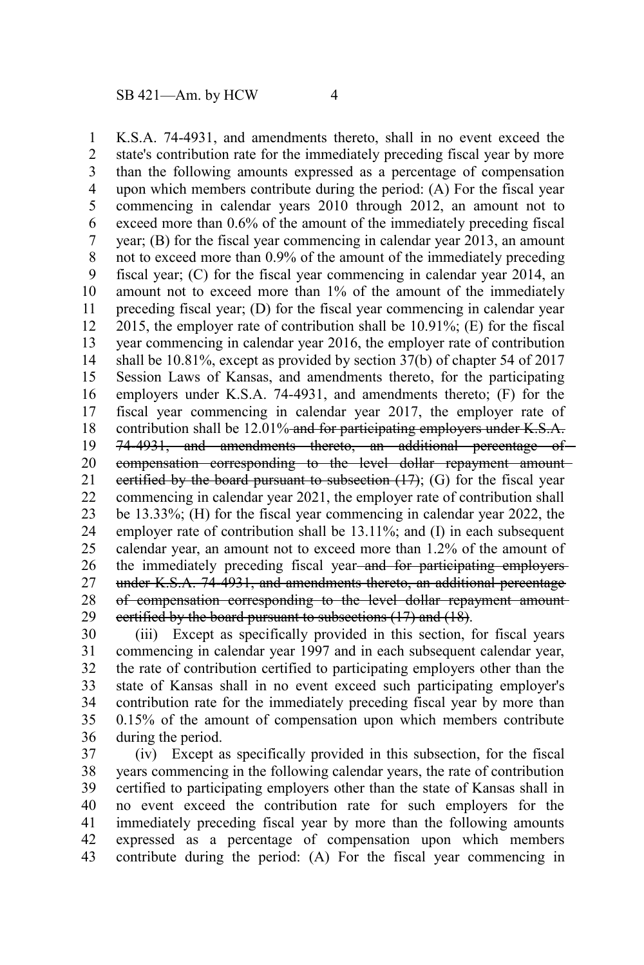K.S.A. 74-4931, and amendments thereto, shall in no event exceed the state's contribution rate for the immediately preceding fiscal year by more than the following amounts expressed as a percentage of compensation upon which members contribute during the period: (A) For the fiscal year commencing in calendar years 2010 through 2012, an amount not to exceed more than 0.6% of the amount of the immediately preceding fiscal year; (B) for the fiscal year commencing in calendar year 2013, an amount not to exceed more than 0.9% of the amount of the immediately preceding fiscal year; (C) for the fiscal year commencing in calendar year 2014, an amount not to exceed more than 1% of the amount of the immediately preceding fiscal year; (D) for the fiscal year commencing in calendar year 2015, the employer rate of contribution shall be 10.91%; (E) for the fiscal year commencing in calendar year 2016, the employer rate of contribution shall be 10.81%, except as provided by section 37(b) of chapter 54 of 2017 Session Laws of Kansas, and amendments thereto, for the participating employers under K.S.A. 74-4931, and amendments thereto; (F) for the fiscal year commencing in calendar year 2017, the employer rate of contribution shall be 12.01% and for participating employers under K.S.A. 74-4931, and amendments thereto, an additional percentage of compensation corresponding to the level dollar repayment amount certified by the board pursuant to subsection  $(17)$ ; (G) for the fiscal year commencing in calendar year 2021, the employer rate of contribution shall be 13.33%; (H) for the fiscal year commencing in calendar year 2022, the employer rate of contribution shall be 13.11%; and (I) in each subsequent calendar year, an amount not to exceed more than 1.2% of the amount of the immediately preceding fiscal year-and for participating employersunder K.S.A. 74-4931, and amendments thereto, an additional percentage of compensation corresponding to the level dollar repayment amount certified by the board pursuant to subsections (17) and (18). 1 2 3 4 5 6 7 8 9 10 11 12 13 14 15 16 17 18 19 20 21 22 23 24 25 26 27 28 29

(iii) Except as specifically provided in this section, for fiscal years commencing in calendar year 1997 and in each subsequent calendar year, the rate of contribution certified to participating employers other than the state of Kansas shall in no event exceed such participating employer's contribution rate for the immediately preceding fiscal year by more than 0.15% of the amount of compensation upon which members contribute during the period. 30 31 32 33 34 35 36

(iv) Except as specifically provided in this subsection, for the fiscal years commencing in the following calendar years, the rate of contribution certified to participating employers other than the state of Kansas shall in no event exceed the contribution rate for such employers for the immediately preceding fiscal year by more than the following amounts expressed as a percentage of compensation upon which members contribute during the period: (A) For the fiscal year commencing in 37 38 39 40 41 42 43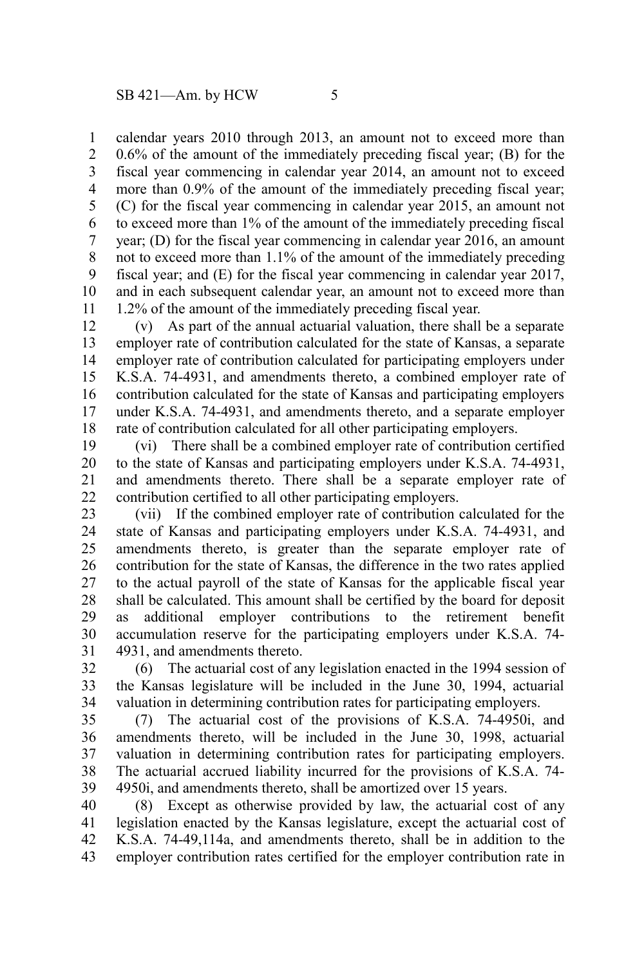calendar years 2010 through 2013, an amount not to exceed more than 0.6% of the amount of the immediately preceding fiscal year; (B) for the fiscal year commencing in calendar year 2014, an amount not to exceed more than 0.9% of the amount of the immediately preceding fiscal year; (C) for the fiscal year commencing in calendar year 2015, an amount not to exceed more than 1% of the amount of the immediately preceding fiscal year; (D) for the fiscal year commencing in calendar year 2016, an amount not to exceed more than 1.1% of the amount of the immediately preceding fiscal year; and (E) for the fiscal year commencing in calendar year 2017, and in each subsequent calendar year, an amount not to exceed more than 1.2% of the amount of the immediately preceding fiscal year. 1 2 3 4 5 6 7 8 9 10 11

(v) As part of the annual actuarial valuation, there shall be a separate employer rate of contribution calculated for the state of Kansas, a separate employer rate of contribution calculated for participating employers under K.S.A. 74-4931, and amendments thereto, a combined employer rate of contribution calculated for the state of Kansas and participating employers under K.S.A. 74-4931, and amendments thereto, and a separate employer rate of contribution calculated for all other participating employers. 12 13 14 15 16 17 18

(vi) There shall be a combined employer rate of contribution certified to the state of Kansas and participating employers under K.S.A. 74-4931, and amendments thereto. There shall be a separate employer rate of contribution certified to all other participating employers. 19 20 21 22

(vii) If the combined employer rate of contribution calculated for the state of Kansas and participating employers under K.S.A. 74-4931, and amendments thereto, is greater than the separate employer rate of contribution for the state of Kansas, the difference in the two rates applied to the actual payroll of the state of Kansas for the applicable fiscal year shall be calculated. This amount shall be certified by the board for deposit as additional employer contributions to the retirement benefit accumulation reserve for the participating employers under K.S.A. 74- 4931, and amendments thereto. 23 24 25 26 27 28 29 30 31

(6) The actuarial cost of any legislation enacted in the 1994 session of the Kansas legislature will be included in the June 30, 1994, actuarial valuation in determining contribution rates for participating employers. 32 33 34

(7) The actuarial cost of the provisions of K.S.A. 74-4950i, and amendments thereto, will be included in the June 30, 1998, actuarial valuation in determining contribution rates for participating employers. The actuarial accrued liability incurred for the provisions of K.S.A. 74- 4950i, and amendments thereto, shall be amortized over 15 years. 35 36 37 38 39

(8) Except as otherwise provided by law, the actuarial cost of any legislation enacted by the Kansas legislature, except the actuarial cost of K.S.A. 74-49,114a, and amendments thereto, shall be in addition to the employer contribution rates certified for the employer contribution rate in 40 41 42 43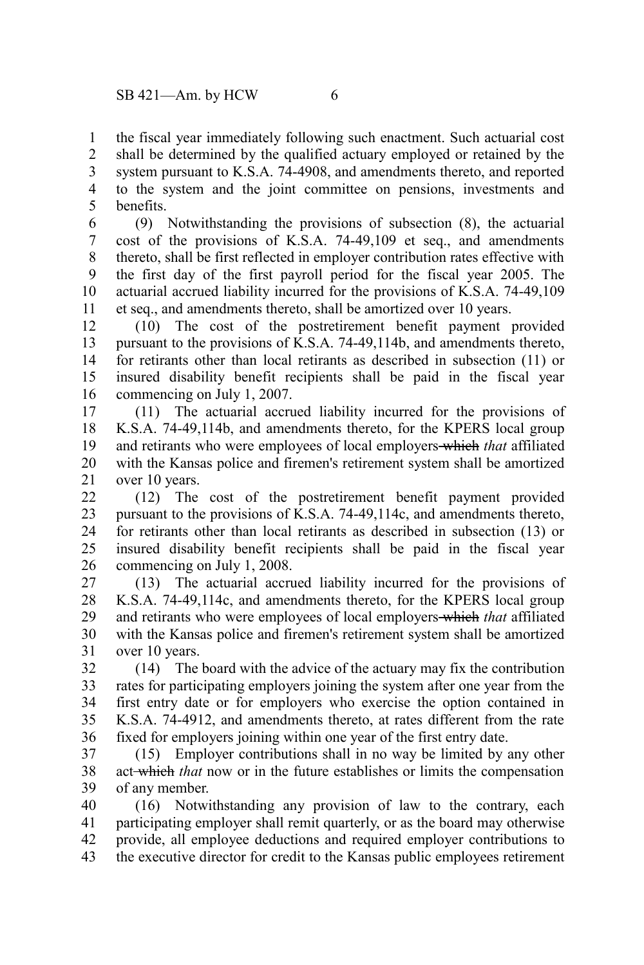the fiscal year immediately following such enactment. Such actuarial cost shall be determined by the qualified actuary employed or retained by the system pursuant to K.S.A. 74-4908, and amendments thereto, and reported to the system and the joint committee on pensions, investments and benefits. 1 2 3 4 5

(9) Notwithstanding the provisions of subsection (8), the actuarial cost of the provisions of K.S.A. 74-49,109 et seq., and amendments thereto, shall be first reflected in employer contribution rates effective with the first day of the first payroll period for the fiscal year 2005. The actuarial accrued liability incurred for the provisions of K.S.A. 74-49,109 et seq., and amendments thereto, shall be amortized over 10 years. 6 7 8 9 10 11

(10) The cost of the postretirement benefit payment provided pursuant to the provisions of K.S.A. 74-49,114b, and amendments thereto, for retirants other than local retirants as described in subsection (11) or insured disability benefit recipients shall be paid in the fiscal year commencing on July 1, 2007. 12 13 14 15 16

(11) The actuarial accrued liability incurred for the provisions of K.S.A. 74-49,114b, and amendments thereto, for the KPERS local group and retirants who were employees of local employers which *that* affiliated with the Kansas police and firemen's retirement system shall be amortized over 10 years. 17 18 19 20 21

(12) The cost of the postretirement benefit payment provided pursuant to the provisions of K.S.A. 74-49,114c, and amendments thereto, for retirants other than local retirants as described in subsection (13) or insured disability benefit recipients shall be paid in the fiscal year commencing on July 1, 2008. 22 23 24 25 26

(13) The actuarial accrued liability incurred for the provisions of K.S.A. 74-49,114c, and amendments thereto, for the KPERS local group and retirants who were employees of local employers which *that* affiliated with the Kansas police and firemen's retirement system shall be amortized over 10 years. 27 28 29 30 31

(14) The board with the advice of the actuary may fix the contribution rates for participating employers joining the system after one year from the first entry date or for employers who exercise the option contained in K.S.A. 74-4912, and amendments thereto, at rates different from the rate fixed for employers joining within one year of the first entry date. 32 33 34 35 36

(15) Employer contributions shall in no way be limited by any other act which *that* now or in the future establishes or limits the compensation of any member. 37 38 39

(16) Notwithstanding any provision of law to the contrary, each participating employer shall remit quarterly, or as the board may otherwise provide, all employee deductions and required employer contributions to the executive director for credit to the Kansas public employees retirement 40 41 42 43